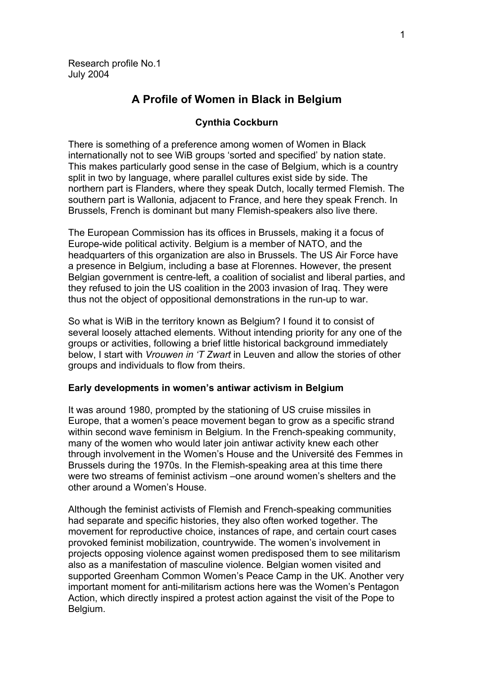# **A Profile of Women in Black in Belgium**

## **Cynthia Cockburn**

There is something of a preference among women of Women in Black internationally not to see WiB groups 'sorted and specified' by nation state. This makes particularly good sense in the case of Belgium, which is a country split in two by language, where parallel cultures exist side by side. The northern part is Flanders, where they speak Dutch, locally termed Flemish. The southern part is Wallonia, adjacent to France, and here they speak French. In Brussels, French is dominant but many Flemish-speakers also live there.

The European Commission has its offices in Brussels, making it a focus of Europe-wide political activity. Belgium is a member of NATO, and the headquarters of this organization are also in Brussels. The US Air Force have a presence in Belgium, including a base at Florennes. However, the present Belgian government is centre-left, a coalition of socialist and liberal parties, and they refused to join the US coalition in the 2003 invasion of Iraq. They were thus not the object of oppositional demonstrations in the run-up to war.

So what is WiB in the territory known as Belgium? I found it to consist of several loosely attached elements. Without intending priority for any one of the groups or activities, following a brief little historical background immediately below, I start with *Vrouwen in 'T Zwart* in Leuven and allow the stories of other groups and individuals to flow from theirs.

### **Early developments in women's antiwar activism in Belgium**

It was around 1980, prompted by the stationing of US cruise missiles in Europe, that a women's peace movement began to grow as a specific strand within second wave feminism in Belgium. In the French-speaking community, many of the women who would later join antiwar activity knew each other through involvement in the Women's House and the Université des Femmes in Brussels during the 1970s. In the Flemish-speaking area at this time there were two streams of feminist activism –one around women's shelters and the other around a Women's House.

Although the feminist activists of Flemish and French-speaking communities had separate and specific histories, they also often worked together. The movement for reproductive choice, instances of rape, and certain court cases provoked feminist mobilization, countrywide. The women's involvement in projects opposing violence against women predisposed them to see militarism also as a manifestation of masculine violence. Belgian women visited and supported Greenham Common Women's Peace Camp in the UK. Another very important moment for anti-militarism actions here was the Women's Pentagon Action, which directly inspired a protest action against the visit of the Pope to Belgium.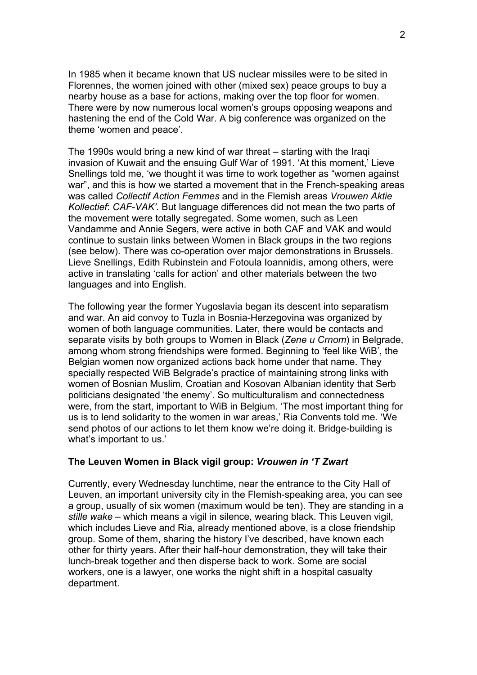In 1985 when it became known that US nuclear missiles were to be sited in Florennes, the women joined with other (mixed sex) peace groups to buy a nearby house as a base for actions, making over the top floor for women. There were by now numerous local women's groups opposing weapons and hastening the end of the Cold War. A big conference was organized on the theme 'women and peace'.

The 1990s would bring a new kind of war threat – starting with the Iraqi invasion of Kuwait and the ensuing Gulf War of 1991. 'At this moment,' Lieve Snellings told me, 'we thought it was time to work together as "women against war", and this is how we started a movement that in the French-speaking areas was called *Collectif Action Femmes* and in the Flemish areas *Vrouwen Aktie Kollectief*: *CAF-VAK'.* But language differences did not mean the two parts of the movement were totally segregated. Some women, such as Leen Vandamme and Annie Segers, were active in both CAF and VAK and would continue to sustain links between Women in Black groups in the two regions (see below). There was co-operation over major demonstrations in Brussels. Lieve Snellings, Edith Rubinstein and Fotoula Ioannidis, among others, were active in translating 'calls for action' and other materials between the two languages and into English.

The following year the former Yugoslavia began its descent into separatism and war. An aid convoy to Tuzla in Bosnia-Herzegovina was organized by women of both language communities. Later, there would be contacts and separate visits by both groups to Women in Black (*Zene u Crnom*) in Belgrade, among whom strong friendships were formed. Beginning to 'feel like WiB', the Belgian women now organized actions back home under that name. They specially respected WiB Belgrade's practice of maintaining strong links with women of Bosnian Muslim, Croatian and Kosovan Albanian identity that Serb politicians designated 'the enemy'. So multiculturalism and connectedness were, from the start, important to WiB in Belgium. 'The most important thing for us is to lend solidarity to the women in war areas,' Ria Convents told me. 'We send photos of our actions to let them know we're doing it. Bridge-building is what's important to us.'

## **The Leuven Women in Black vigil group:** *Vrouwen in 'T Zwart*

Currently, every Wednesday lunchtime, near the entrance to the City Hall of Leuven, an important university city in the Flemish-speaking area, you can see a group, usually of six women (maximum would be ten). They are standing in a *stille wake* – which means a vigil in silence, wearing black. This Leuven vigil, which includes Lieve and Ria, already mentioned above, is a close friendship group. Some of them, sharing the history I've described, have known each other for thirty years. After their half-hour demonstration, they will take their lunch-break together and then disperse back to work. Some are social workers, one is a lawyer, one works the night shift in a hospital casualty department.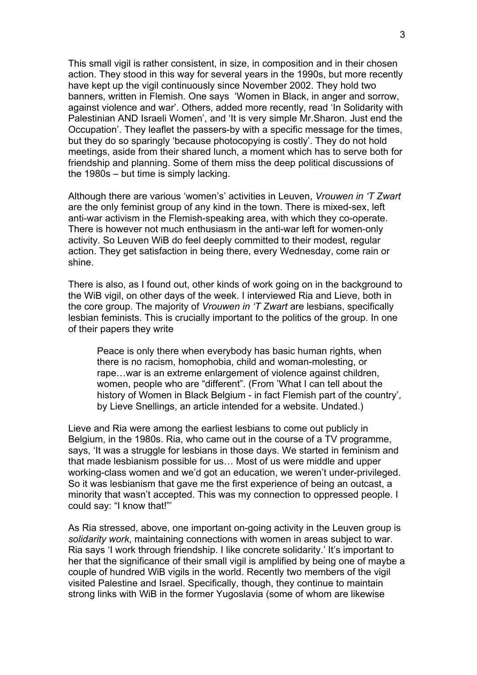This small vigil is rather consistent, in size, in composition and in their chosen action. They stood in this way for several years in the 1990s, but more recently have kept up the vigil continuously since November 2002. They hold two banners, written in Flemish. One says 'Women in Black, in anger and sorrow, against violence and war'. Others, added more recently, read 'In Solidarity with Palestinian AND Israeli Women', and 'It is very simple Mr.Sharon. Just end the Occupation'. They leaflet the passers-by with a specific message for the times, but they do so sparingly 'because photocopying is costly'. They do not hold meetings, aside from their shared lunch, a moment which has to serve both for friendship and planning. Some of them miss the deep political discussions of the 1980s – but time is simply lacking.

Although there are various 'women's' activities in Leuven, *Vrouwen in 'T Zwart* are the only feminist group of any kind in the town. There is mixed-sex, left anti-war activism in the Flemish-speaking area, with which they co-operate. There is however not much enthusiasm in the anti-war left for women-only activity. So Leuven WiB do feel deeply committed to their modest, regular action. They get satisfaction in being there, every Wednesday, come rain or shine.

There is also, as I found out, other kinds of work going on in the background to the WiB vigil, on other days of the week. I interviewed Ria and Lieve, both in the core group. The majority of *Vrouwen in 'T Zwart* are lesbians, specifically lesbian feminists. This is crucially important to the politics of the group. In one of their papers they write

Peace is only there when everybody has basic human rights, when there is no racism, homophobia, child and woman-molesting, or rape…war is an extreme enlargement of violence against children, women, people who are "different". (From 'What I can tell about the history of Women in Black Belgium - in fact Flemish part of the country', by Lieve Snellings, an article intended for a website. Undated.)

Lieve and Ria were among the earliest lesbians to come out publicly in Belgium, in the 1980s. Ria, who came out in the course of a TV programme, says, 'It was a struggle for lesbians in those days. We started in feminism and that made lesbianism possible for us… Most of us were middle and upper working-class women and we'd got an education, we weren't under-privileged. So it was lesbianism that gave me the first experience of being an outcast, a minority that wasn't accepted. This was my connection to oppressed people. I could say: "I know that!"'

As Ria stressed, above, one important on-going activity in the Leuven group is *solidarity work*, maintaining connections with women in areas subject to war. Ria says 'I work through friendship. I like concrete solidarity.' It's important to her that the significance of their small vigil is amplified by being one of maybe a couple of hundred WiB vigils in the world. Recently two members of the vigil visited Palestine and Israel. Specifically, though, they continue to maintain strong links with WiB in the former Yugoslavia (some of whom are likewise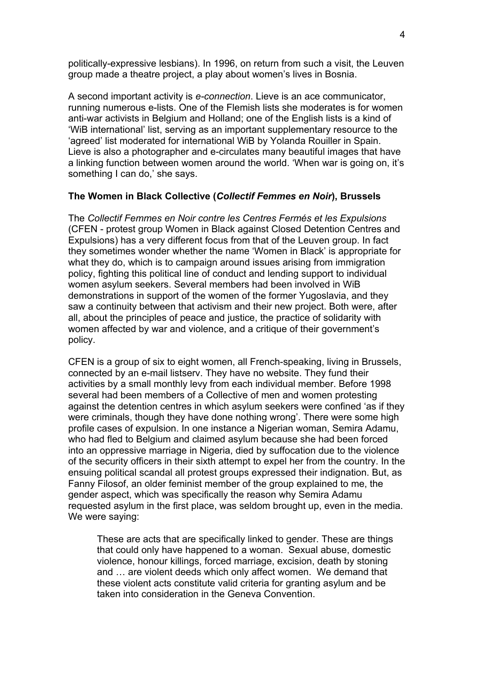politically-expressive lesbians). In 1996, on return from such a visit, the Leuven group made a theatre project, a play about women's lives in Bosnia.

A second important activity is *e-connection*. Lieve is an ace communicator, running numerous e-lists. One of the Flemish lists she moderates is for women anti-war activists in Belgium and Holland; one of the English lists is a kind of 'WiB international' list, serving as an important supplementary resource to the 'agreed' list moderated for international WiB by Yolanda Rouiller in Spain. Lieve is also a photographer and e-circulates many beautiful images that have a linking function between women around the world. 'When war is going on, it's something I can do,' she says.

## **The Women in Black Collective (***Collectif Femmes en Noir***), Brussels**

The *Collectif Femmes en Noir contre les Centres Fermés et les Expulsions*  (CFEN - protest group Women in Black against Closed Detention Centres and Expulsions) has a very different focus from that of the Leuven group. In fact they sometimes wonder whether the name 'Women in Black' is appropriate for what they do, which is to campaign around issues arising from immigration policy, fighting this political line of conduct and lending support to individual women asylum seekers. Several members had been involved in WiB demonstrations in support of the women of the former Yugoslavia, and they saw a continuity between that activism and their new project. Both were, after all, about the principles of peace and justice, the practice of solidarity with women affected by war and violence, and a critique of their government's policy.

CFEN is a group of six to eight women, all French-speaking, living in Brussels, connected by an e-mail listserv. They have no website. They fund their activities by a small monthly levy from each individual member. Before 1998 several had been members of a Collective of men and women protesting against the detention centres in which asylum seekers were confined 'as if they were criminals, though they have done nothing wrong'. There were some high profile cases of expulsion. In one instance a Nigerian woman, Semira Adamu, who had fled to Belgium and claimed asylum because she had been forced into an oppressive marriage in Nigeria, died by suffocation due to the violence of the security officers in their sixth attempt to expel her from the country. In the ensuing political scandal all protest groups expressed their indignation. But, as Fanny Filosof, an older feminist member of the group explained to me, the gender aspect, which was specifically the reason why Semira Adamu requested asylum in the first place, was seldom brought up, even in the media. We were saying:

These are acts that are specifically linked to gender. These are things that could only have happened to a woman. Sexual abuse, domestic violence, honour killings, forced marriage, excision, death by stoning and … are violent deeds which only affect women. We demand that these violent acts constitute valid criteria for granting asylum and be taken into consideration in the Geneva Convention.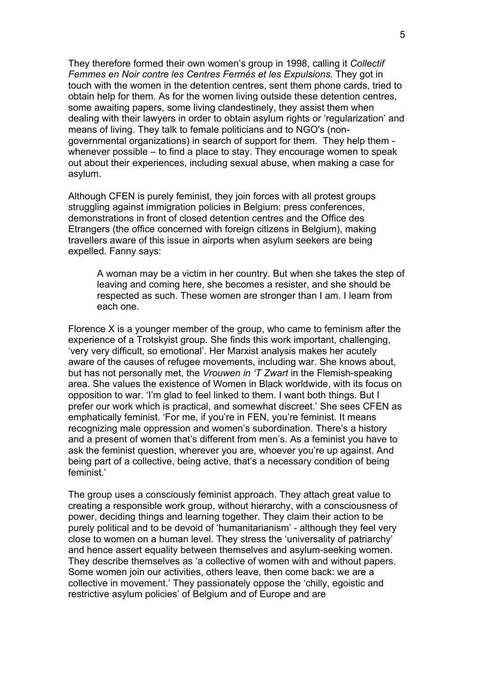They therefore formed their own women's group in 1998, calling it *Collectif Femmes en Noir contre les Centres Fermés et les Expulsions*. They got in touch with the women in the detention centres, sent them phone cards, tried to obtain help for them. As for the women living outside these detention centres, some awaiting papers, some living clandestinely, they assist them when dealing with their lawyers in order to obtain asylum rights or 'regularization' and means of living. They talk to female politicians and to NGO's (nongovernmental organizations) in search of support for them. They help them whenever possible – to find a place to stay. They encourage women to speak out about their experiences, including sexual abuse, when making a case for asylum.

Although CFEN is purely feminist, they join forces with all protest groups struggling against immigration policies in Belgium: press conferences, demonstrations in front of closed detention centres and the Office des Etrangers (the office concerned with foreign citizens in Belgium), making travellers aware of this issue in airports when asylum seekers are being expelled. Fanny says:

A woman may be a victim in her country. But when she takes the step of leaving and coming here, she becomes a resister, and she should be respected as such. These women are stronger than I am. I learn from each one.

Florence X is a younger member of the group, who came to feminism after the experience of a Trotskyist group. She finds this work important, challenging, 'very very difficult, so emotional'. Her Marxist analysis makes her acutely aware of the causes of refugee movements, including war. She knows about, but has not personally met, the *Vrouwen in 'T Zwart* in the Flemish-speaking area. She values the existence of Women in Black worldwide, with its focus on opposition to war. 'I'm glad to feel linked to them. I want both things. But I prefer our work which is practical, and somewhat discreet.' She sees CFEN as emphatically feminist. 'For me, if you're in FEN, you're feminist. It means recognizing male oppression and women's subordination. There's a history and a present of women that's different from men's. As a feminist you have to ask the feminist question, wherever you are, whoever you're up against. And being part of a collective, being active, that's a necessary condition of being feminist.'

The group uses a consciously feminist approach. They attach great value to creating a responsible work group, without hierarchy, with a consciousness of power, deciding things and learning together. They claim their action to be purely political and to be devoid of 'humanitarianism' - although they feel very close to women on a human level. They stress the 'universality of patriarchy' and hence assert equality between themselves and asylum-seeking women. They describe themselves as 'a collective of women with and without papers. Some women join our activities, others leave, then come back: we are a collective in movement.' They passionately oppose the 'chilly, egoistic and restrictive asylum policies' of Belgium and of Europe and are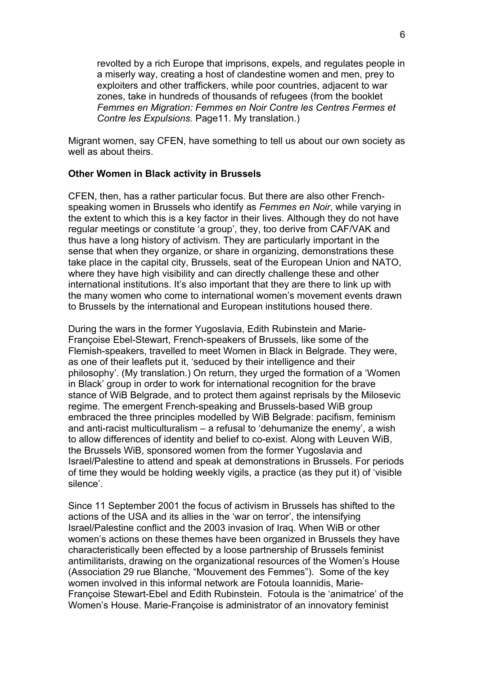revolted by a rich Europe that imprisons, expels, and regulates people in a miserly way, creating a host of clandestine women and men, prey to exploiters and other traffickers, while poor countries, adjacent to war zones, take in hundreds of thousands of refugees (from the booklet *Femmes en Migration: Femmes en Noir Contre les Centres Fermes et Contre les Expulsions.* Page11. My translation.)

Migrant women, say CFEN, have something to tell us about our own society as well as about theirs.

### **Other Women in Black activity in Brussels**

CFEN, then, has a rather particular focus. But there are also other Frenchspeaking women in Brussels who identify as *Femmes en Noir*, while varying in the extent to which this is a key factor in their lives. Although they do not have regular meetings or constitute 'a group', they, too derive from CAF/VAK and thus have a long history of activism. They are particularly important in the sense that when they organize, or share in organizing, demonstrations these take place in the capital city, Brussels, seat of the European Union and NATO, where they have high visibility and can directly challenge these and other international institutions. It's also important that they are there to link up with the many women who come to international women's movement events drawn to Brussels by the international and European institutions housed there.

During the wars in the former Yugoslavia, Edith Rubinstein and Marie-Françoise Ebel-Stewart, French-speakers of Brussels, like some of the Flemish-speakers, travelled to meet Women in Black in Belgrade. They were, as one of their leaflets put it, 'seduced by their intelligence and their philosophy'. (My translation.) On return, they urged the formation of a 'Women in Black' group in order to work for international recognition for the brave stance of WiB Belgrade, and to protect them against reprisals by the Milosevic regime. The emergent French-speaking and Brussels-based WiB group embraced the three principles modelled by WiB Belgrade: pacifism, feminism and anti-racist multiculturalism – a refusal to 'dehumanize the enemy', a wish to allow differences of identity and belief to co-exist. Along with Leuven WiB, the Brussels WiB, sponsored women from the former Yugoslavia and Israel/Palestine to attend and speak at demonstrations in Brussels. For periods of time they would be holding weekly vigils, a practice (as they put it) of 'visible silence'.

Since 11 September 2001 the focus of activism in Brussels has shifted to the actions of the USA and its allies in the 'war on terror', the intensifying Israel/Palestine conflict and the 2003 invasion of Iraq. When WiB or other women's actions on these themes have been organized in Brussels they have characteristically been effected by a loose partnership of Brussels feminist antimilitarists, drawing on the organizational resources of the Women's House (Association 29 rue Blanche, "Mouvement des Femmes"). Some of the key women involved in this informal network are Fotoula Ioannidis, Marie-Françoise Stewart-Ebel and Edith Rubinstein. Fotoula is the 'animatrice' of the Women's House. Marie-Françoise is administrator of an innovatory feminist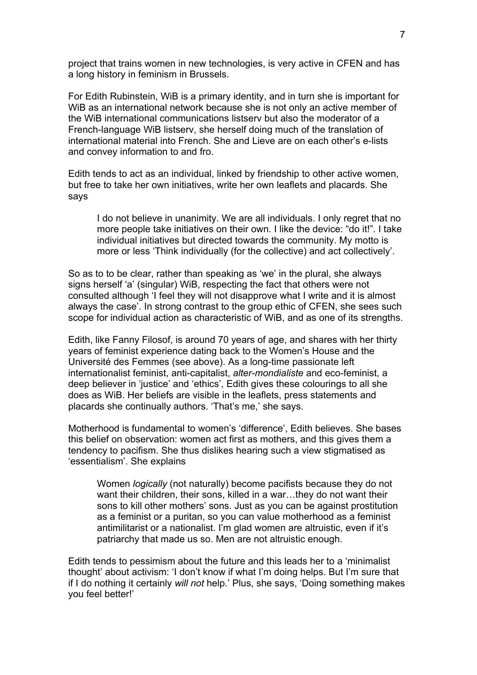project that trains women in new technologies, is very active in CFEN and has a long history in feminism in Brussels.

For Edith Rubinstein, WiB is a primary identity, and in turn she is important for WiB as an international network because she is not only an active member of the WiB international communications listserv but also the moderator of a French-language WiB listserv, she herself doing much of the translation of international material into French. She and Lieve are on each other's e-lists and convey information to and fro.

Edith tends to act as an individual, linked by friendship to other active women, but free to take her own initiatives, write her own leaflets and placards. She says

I do not believe in unanimity. We are all individuals. I only regret that no more people take initiatives on their own. I like the device: "do it!". I take individual initiatives but directed towards the community. My motto is more or less 'Think individually (for the collective) and act collectively'.

So as to to be clear, rather than speaking as 'we' in the plural, she always signs herself 'a' (singular) WiB, respecting the fact that others were not consulted although 'I feel they will not disapprove what I write and it is almost always the case'. In strong contrast to the group ethic of CFEN, she sees such scope for individual action as characteristic of WiB, and as one of its strengths.

Edith, like Fanny Filosof, is around 70 years of age, and shares with her thirty years of feminist experience dating back to the Women's House and the Université des Femmes (see above). As a long-time passionate left internationalist feminist, anti-capitalist, *alter-mondialiste* and eco-feminist, a deep believer in 'justice' and 'ethics', Edith gives these colourings to all she does as WiB. Her beliefs are visible in the leaflets, press statements and placards she continually authors. 'That's me,' she says.

Motherhood is fundamental to women's 'difference', Edith believes. She bases this belief on observation: women act first as mothers, and this gives them a tendency to pacifism. She thus dislikes hearing such a view stigmatised as 'essentialism'. She explains

Women *logically* (not naturally) become pacifists because they do not want their children, their sons, killed in a war…they do not want their sons to kill other mothers' sons. Just as you can be against prostitution as a feminist or a puritan, so you can value motherhood as a feminist antimilitarist or a nationalist. I'm glad women are altruistic, even if it's patriarchy that made us so. Men are not altruistic enough.

Edith tends to pessimism about the future and this leads her to a 'minimalist thought' about activism: 'I don't know if what I'm doing helps. But I'm sure that if I do nothing it certainly *will not* help.' Plus, she says, 'Doing something makes you feel better!'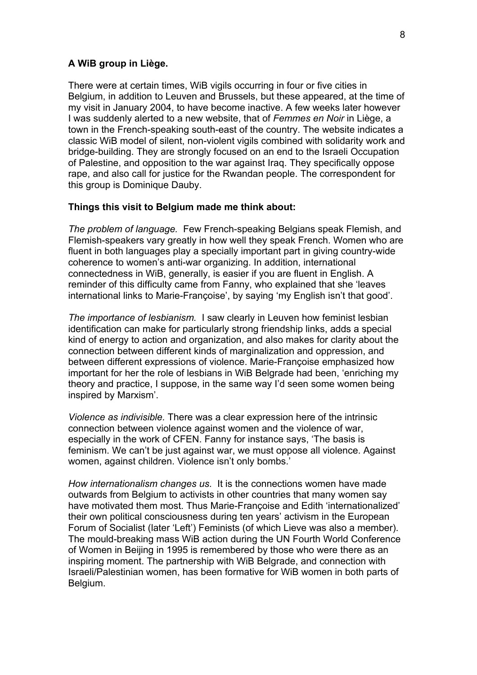### **A WiB group in Liège.**

There were at certain times, WiB vigils occurring in four or five cities in Belgium, in addition to Leuven and Brussels, but these appeared, at the time of my visit in January 2004, to have become inactive. A few weeks later however I was suddenly alerted to a new website, that of *Femmes en Noir* in Liège, a town in the French-speaking south-east of the country. The website indicates a classic WiB model of silent, non-violent vigils combined with solidarity work and bridge-building. They are strongly focused on an end to the Israeli Occupation of Palestine, and opposition to the war against Iraq. They specifically oppose rape, and also call for justice for the Rwandan people. The correspondent for this group is Dominique Dauby.

## **Things this visit to Belgium made me think about:**

*The problem of language.* Few French-speaking Belgians speak Flemish, and Flemish-speakers vary greatly in how well they speak French. Women who are fluent in both languages play a specially important part in giving country-wide coherence to women's anti-war organizing. In addition, international connectedness in WiB, generally, is easier if you are fluent in English. A reminder of this difficulty came from Fanny, who explained that she 'leaves international links to Marie-Françoise', by saying 'my English isn't that good'.

*The importance of lesbianism.* I saw clearly in Leuven how feminist lesbian identification can make for particularly strong friendship links, adds a special kind of energy to action and organization, and also makes for clarity about the connection between different kinds of marginalization and oppression, and between different expressions of violence. Marie-Françoise emphasized how important for her the role of lesbians in WiB Belgrade had been, 'enriching my theory and practice, I suppose, in the same way I'd seen some women being inspired by Marxism'.

*Violence as indivisible.* There was a clear expression here of the intrinsic connection between violence against women and the violence of war, especially in the work of CFEN. Fanny for instance says, 'The basis is feminism. We can't be just against war, we must oppose all violence. Against women, against children. Violence isn't only bombs.'

*How internationalism changes us.* It is the connections women have made outwards from Belgium to activists in other countries that many women say have motivated them most. Thus Marie-Françoise and Edith 'internationalized' their own political consciousness during ten years' activism in the European Forum of Socialist (later 'Left') Feminists (of which Lieve was also a member). The mould-breaking mass WiB action during the UN Fourth World Conference of Women in Beijing in 1995 is remembered by those who were there as an inspiring moment. The partnership with WiB Belgrade, and connection with Israeli/Palestinian women, has been formative for WiB women in both parts of Belgium.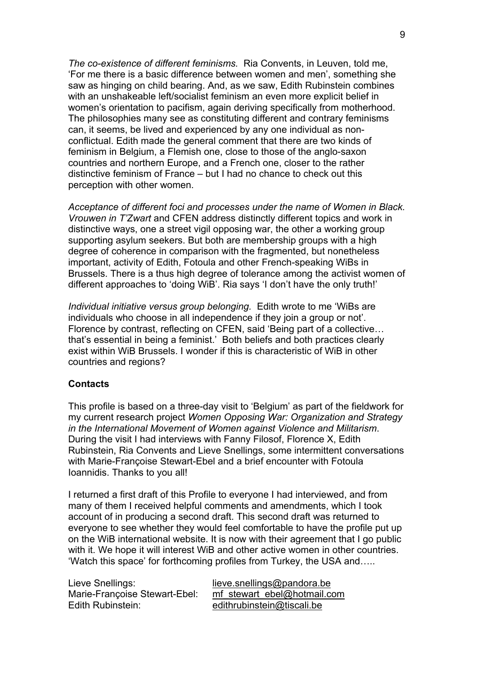*The co-existence of different feminisms.* Ria Convents, in Leuven, told me, 'For me there is a basic difference between women and men', something she saw as hinging on child bearing. And, as we saw, Edith Rubinstein combines with an unshakeable left/socialist feminism an even more explicit belief in women's orientation to pacifism, again deriving specifically from motherhood. The philosophies many see as constituting different and contrary feminisms can, it seems, be lived and experienced by any one individual as nonconflictual. Edith made the general comment that there are two kinds of feminism in Belgium, a Flemish one, close to those of the anglo-saxon countries and northern Europe, and a French one, closer to the rather distinctive feminism of France – but I had no chance to check out this perception with other women.

*Acceptance of different foci and processes under the name of Women in Black. Vrouwen in T'Zwart* and CFEN address distinctly different topics and work in distinctive ways, one a street vigil opposing war, the other a working group supporting asylum seekers. But both are membership groups with a high degree of coherence in comparison with the fragmented, but nonetheless important, activity of Edith, Fotoula and other French-speaking WiBs in Brussels. There is a thus high degree of tolerance among the activist women of different approaches to 'doing WiB'. Ria says 'I don't have the only truth!'

*Individual initiative versus group belonging.* Edith wrote to me 'WiBs are individuals who choose in all independence if they join a group or not'. Florence by contrast, reflecting on CFEN, said 'Being part of a collective… that's essential in being a feminist.' Both beliefs and both practices clearly exist within WiB Brussels. I wonder if this is characteristic of WiB in other countries and regions?

### **Contacts**

This profile is based on a three-day visit to 'Belgium' as part of the fieldwork for my current research project *Women Opposing War: Organization and Strategy in the International Movement of Women against Violence and Militarism*. During the visit I had interviews with Fanny Filosof, Florence X, Edith Rubinstein, Ria Convents and Lieve Snellings, some intermittent conversations with Marie-Françoise Stewart-Ebel and a brief encounter with Fotoula Ioannidis. Thanks to you all!

I returned a first draft of this Profile to everyone I had interviewed, and from many of them I received helpful comments and amendments, which I took account of in producing a second draft. This second draft was returned to everyone to see whether they would feel comfortable to have the profile put up on the WiB international website. It is now with their agreement that I go public with it. We hope it will interest WiB and other active women in other countries. 'Watch this space' for forthcoming profiles from Turkey, the USA and…..

Lieve Snellings: lieve.snellings@pandora.be Edith Rubinstein: edithrubinstein@tiscali.be

Marie-Françoise Stewart-Ebel: mf\_stewart\_ebel@hotmail.com